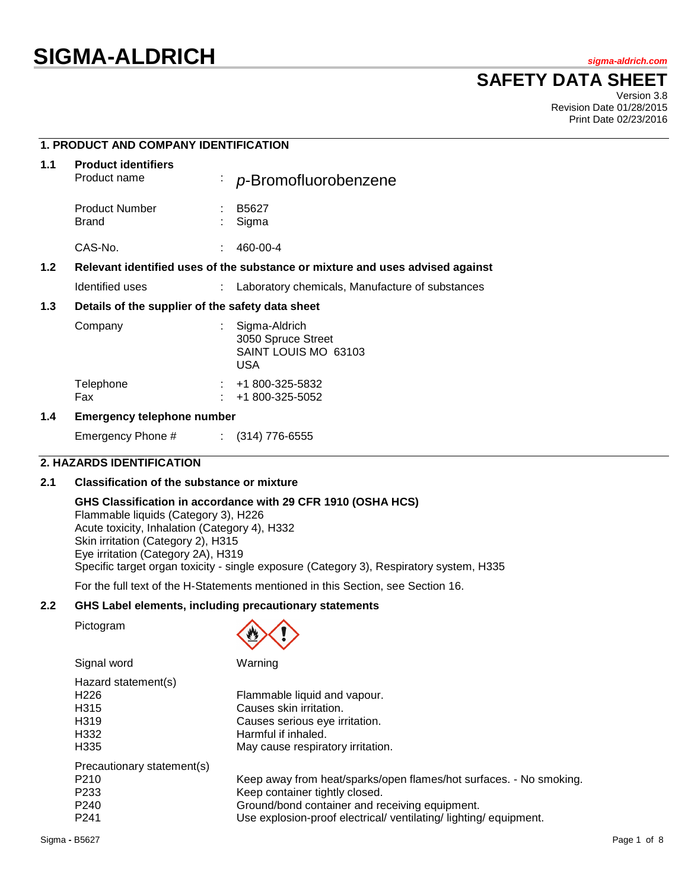# **SIGMA-ALDRICH** *sigma-aldrich.com*

## **SAFETY DATA SHEET**

Version 3.8 Revision Date 01/28/2015 Print Date 02/23/2016

### **1. PRODUCT AND COMPANY IDENTIFICATION**

| 1.1 | <b>Product identifiers</b><br>Product name                                    | ÷. | p-Bromofluorobenzene                                                      |
|-----|-------------------------------------------------------------------------------|----|---------------------------------------------------------------------------|
|     | <b>Product Number</b><br><b>Brand</b>                                         |    | B5627<br>Sigma                                                            |
|     | CAS-No.                                                                       |    | 460-00-4                                                                  |
| 1.2 | Relevant identified uses of the substance or mixture and uses advised against |    |                                                                           |
|     | Identified uses                                                               |    | Laboratory chemicals, Manufacture of substances                           |
| 1.3 | Details of the supplier of the safety data sheet                              |    |                                                                           |
|     | Company                                                                       |    | Sigma-Aldrich<br>3050 Spruce Street<br>SAINT LOUIS MO 63103<br><b>USA</b> |
|     | Telephone<br>Fax                                                              |    | $: 41800 - 325 - 5832$<br>+1 800-325-5052                                 |
| 1.4 | Emergency telephone number                                                    |    |                                                                           |

Emergency Phone # : (314) 776-6555

### **2. HAZARDS IDENTIFICATION**

#### **2.1 Classification of the substance or mixture**

#### **GHS Classification in accordance with 29 CFR 1910 (OSHA HCS)**

Flammable liquids (Category 3), H226 Acute toxicity, Inhalation (Category 4), H332 Skin irritation (Category 2), H315 Eye irritation (Category 2A), H319 Specific target organ toxicity - single exposure (Category 3), Respiratory system, H335

For the full text of the H-Statements mentioned in this Section, see Section 16.

#### **2.2 GHS Label elements, including precautionary statements**

Pictogram



Signal word Warning

| Hazard statement(s)        |                                                                    |
|----------------------------|--------------------------------------------------------------------|
| H <sub>226</sub>           | Flammable liquid and vapour.                                       |
| H <sub>315</sub>           | Causes skin irritation.                                            |
| H <sub>3</sub> 19          | Causes serious eye irritation.                                     |
| H332                       | Harmful if inhaled.                                                |
| H <sub>335</sub>           | May cause respiratory irritation.                                  |
| Precautionary statement(s) |                                                                    |
| P <sub>210</sub>           | Keep away from heat/sparks/open flames/hot surfaces. - No smoking. |
| P <sub>233</sub>           | Keep container tightly closed.                                     |
| P <sub>240</sub>           | Ground/bond container and receiving equipment.                     |
| P <sub>241</sub>           | Use explosion-proof electrical/ventilating/lighting/equipment.     |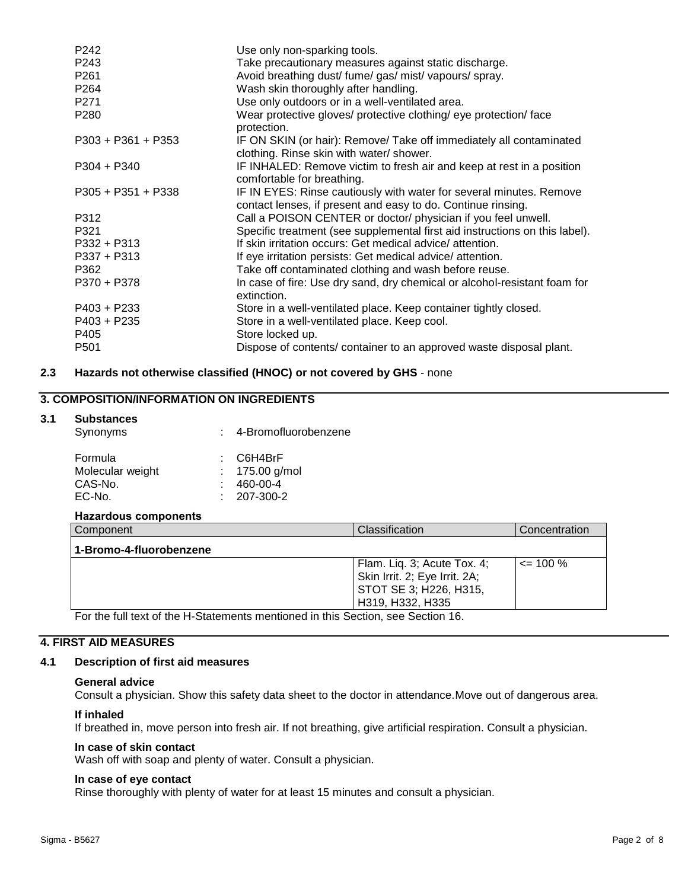| P242                 | Use only non-sparking tools.                                                                                                        |
|----------------------|-------------------------------------------------------------------------------------------------------------------------------------|
| P243                 | Take precautionary measures against static discharge.                                                                               |
| P <sub>261</sub>     | Avoid breathing dust/ fume/ gas/ mist/ vapours/ spray.                                                                              |
| P <sub>264</sub>     | Wash skin thoroughly after handling.                                                                                                |
| P <sub>271</sub>     | Use only outdoors or in a well-ventilated area.                                                                                     |
| P <sub>280</sub>     | Wear protective gloves/ protective clothing/ eye protection/ face<br>protection.                                                    |
| $P303 + P361 + P353$ | IF ON SKIN (or hair): Remove/ Take off immediately all contaminated<br>clothing. Rinse skin with water/ shower.                     |
| $P304 + P340$        | IF INHALED: Remove victim to fresh air and keep at rest in a position<br>comfortable for breathing.                                 |
| $P305 + P351 + P338$ | IF IN EYES: Rinse cautiously with water for several minutes. Remove<br>contact lenses, if present and easy to do. Continue rinsing. |
| P312                 | Call a POISON CENTER or doctor/ physician if you feel unwell.                                                                       |
| P321                 | Specific treatment (see supplemental first aid instructions on this label).                                                         |
| $P332 + P313$        | If skin irritation occurs: Get medical advice/attention.                                                                            |
| $P337 + P313$        | If eye irritation persists: Get medical advice/attention.                                                                           |
| P362                 | Take off contaminated clothing and wash before reuse.                                                                               |
| P370 + P378          | In case of fire: Use dry sand, dry chemical or alcohol-resistant foam for<br>extinction.                                            |
| $P403 + P233$        | Store in a well-ventilated place. Keep container tightly closed.                                                                    |
| P403 + P235          | Store in a well-ventilated place. Keep cool.                                                                                        |
| P405                 | Store locked up.                                                                                                                    |
| P <sub>501</sub>     | Dispose of contents/ container to an approved waste disposal plant.                                                                 |
|                      |                                                                                                                                     |

#### **2.3 Hazards not otherwise classified (HNOC) or not covered by GHS** - none

### **3. COMPOSITION/INFORMATION ON INGREDIENTS**

#### **3.1 Substances**

| Synonyms         | 4-Bromofluorobenzene |
|------------------|----------------------|
| Formula          | $\therefore$ C6H4BrF |
| Molecular weight | : $175.00$ g/mol     |
| CAS-No.          | 460-00-4             |
| EC-No.           | $: 207-300-2$        |

#### **Hazardous components**

| Component                                                                                                        | Classification                | Concentration |
|------------------------------------------------------------------------------------------------------------------|-------------------------------|---------------|
| 1-Bromo-4-fluorobenzene                                                                                          |                               |               |
|                                                                                                                  | Flam. Liq. 3; Acute Tox. 4;   | $\leq$ 100 %  |
|                                                                                                                  | Skin Irrit. 2; Eye Irrit. 2A; |               |
|                                                                                                                  | STOT SE 3; H226, H315,        |               |
|                                                                                                                  | H319, H332, H335              |               |
| $\Gamma$ and a full fact of the H. Of atoms and members of both $\Gamma$ of $\Gamma$ and an $\Gamma$ of $\Gamma$ |                               |               |

For the full text of the H-Statements mentioned in this Section, see Section 16.

### **4. FIRST AID MEASURES**

#### **4.1 Description of first aid measures**

#### **General advice**

Consult a physician. Show this safety data sheet to the doctor in attendance.Move out of dangerous area.

#### **If inhaled**

If breathed in, move person into fresh air. If not breathing, give artificial respiration. Consult a physician.

#### **In case of skin contact**

Wash off with soap and plenty of water. Consult a physician.

#### **In case of eye contact**

Rinse thoroughly with plenty of water for at least 15 minutes and consult a physician.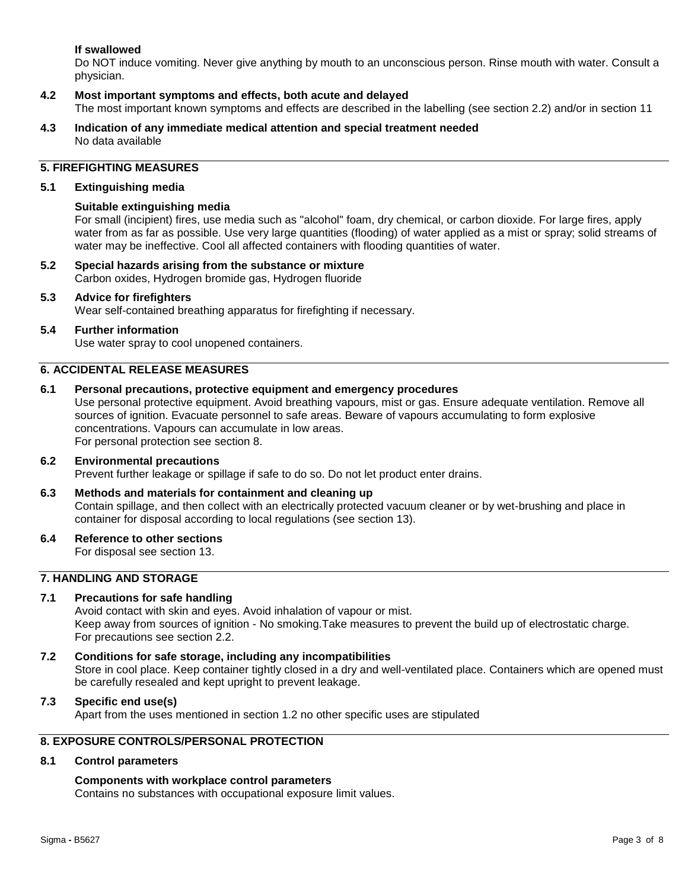#### **If swallowed**

Do NOT induce vomiting. Never give anything by mouth to an unconscious person. Rinse mouth with water. Consult a physician.

#### **4.2 Most important symptoms and effects, both acute and delayed**

The most important known symptoms and effects are described in the labelling (see section 2.2) and/or in section 11

**4.3 Indication of any immediate medical attention and special treatment needed** No data available

#### **5. FIREFIGHTING MEASURES**

#### **5.1 Extinguishing media**

#### **Suitable extinguishing media**

For small (incipient) fires, use media such as "alcohol" foam, dry chemical, or carbon dioxide. For large fires, apply water from as far as possible. Use very large quantities (flooding) of water applied as a mist or spray; solid streams of water may be ineffective. Cool all affected containers with flooding quantities of water.

**5.2 Special hazards arising from the substance or mixture** Carbon oxides, Hydrogen bromide gas, Hydrogen fluoride

#### **5.3 Advice for firefighters**

Wear self-contained breathing apparatus for firefighting if necessary.

#### **5.4 Further information**

Use water spray to cool unopened containers.

#### **6. ACCIDENTAL RELEASE MEASURES**

#### **6.1 Personal precautions, protective equipment and emergency procedures**

Use personal protective equipment. Avoid breathing vapours, mist or gas. Ensure adequate ventilation. Remove all sources of ignition. Evacuate personnel to safe areas. Beware of vapours accumulating to form explosive concentrations. Vapours can accumulate in low areas. For personal protection see section 8.

#### **6.2 Environmental precautions** Prevent further leakage or spillage if safe to do so. Do not let product enter drains.

### **6.3 Methods and materials for containment and cleaning up** Contain spillage, and then collect with an electrically protected vacuum cleaner or by wet-brushing and place in

container for disposal according to local regulations (see section 13).

#### **6.4 Reference to other sections**

For disposal see section 13.

#### **7. HANDLING AND STORAGE**

#### **7.1 Precautions for safe handling**

Avoid contact with skin and eyes. Avoid inhalation of vapour or mist. Keep away from sources of ignition - No smoking.Take measures to prevent the build up of electrostatic charge. For precautions see section 2.2.

**7.2 Conditions for safe storage, including any incompatibilities** Store in cool place. Keep container tightly closed in a dry and well-ventilated place. Containers which are opened must be carefully resealed and kept upright to prevent leakage.

#### **7.3 Specific end use(s)**

Apart from the uses mentioned in section 1.2 no other specific uses are stipulated

### **8. EXPOSURE CONTROLS/PERSONAL PROTECTION**

#### **8.1 Control parameters**

#### **Components with workplace control parameters**

Contains no substances with occupational exposure limit values.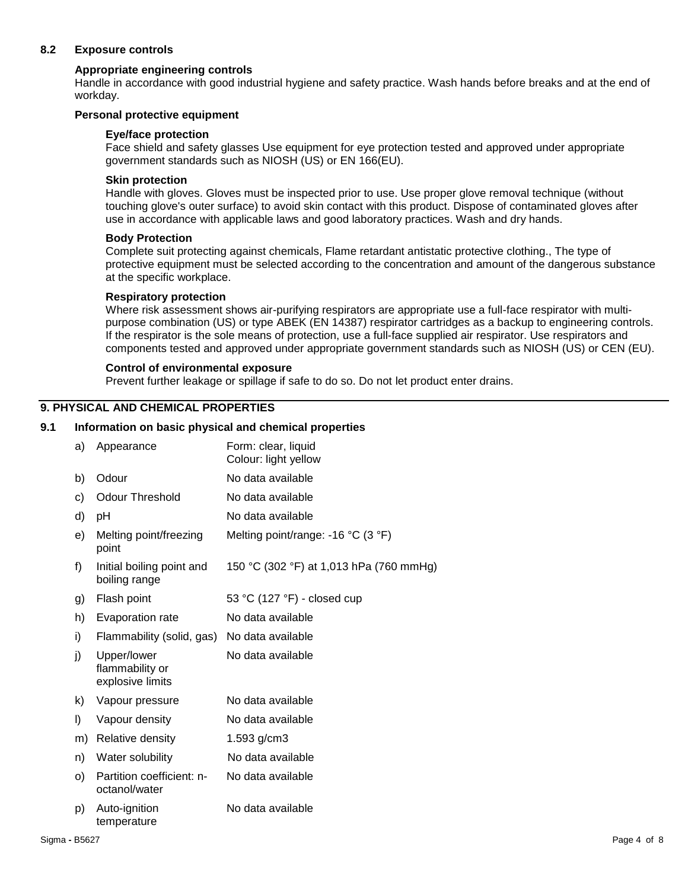#### **8.2 Exposure controls**

#### **Appropriate engineering controls**

Handle in accordance with good industrial hygiene and safety practice. Wash hands before breaks and at the end of workday.

#### **Personal protective equipment**

#### **Eye/face protection**

Face shield and safety glasses Use equipment for eye protection tested and approved under appropriate government standards such as NIOSH (US) or EN 166(EU).

#### **Skin protection**

Handle with gloves. Gloves must be inspected prior to use. Use proper glove removal technique (without touching glove's outer surface) to avoid skin contact with this product. Dispose of contaminated gloves after use in accordance with applicable laws and good laboratory practices. Wash and dry hands.

#### **Body Protection**

Complete suit protecting against chemicals, Flame retardant antistatic protective clothing., The type of protective equipment must be selected according to the concentration and amount of the dangerous substance at the specific workplace.

#### **Respiratory protection**

Where risk assessment shows air-purifying respirators are appropriate use a full-face respirator with multipurpose combination (US) or type ABEK (EN 14387) respirator cartridges as a backup to engineering controls. If the respirator is the sole means of protection, use a full-face supplied air respirator. Use respirators and components tested and approved under appropriate government standards such as NIOSH (US) or CEN (EU).

#### **Control of environmental exposure**

Prevent further leakage or spillage if safe to do so. Do not let product enter drains.

#### **9. PHYSICAL AND CHEMICAL PROPERTIES**

#### **9.1 Information on basic physical and chemical properties**

| a) | Appearance                                         | Form: clear, liquid<br>Colour: light yellow |
|----|----------------------------------------------------|---------------------------------------------|
| b) | Odour                                              | No data available                           |
| c) | <b>Odour Threshold</b>                             | No data available                           |
| d) | pH                                                 | No data available                           |
| e) | Melting point/freezing<br>point                    | Melting point/range: -16 °C (3 °F)          |
| f) | Initial boiling point and<br>boiling range         | 150 °C (302 °F) at 1,013 hPa (760 mmHg)     |
| g) | Flash point                                        | 53 °C (127 °F) - closed cup                 |
| h) | Evaporation rate                                   | No data available                           |
| i) | Flammability (solid, gas)                          | No data available                           |
| j) | Upper/lower<br>flammability or<br>explosive limits | No data available                           |
| k) | Vapour pressure                                    | No data available                           |
| I) | Vapour density                                     | No data available                           |
| m) | Relative density                                   | 1.593 g/cm3                                 |
| n) | Water solubility                                   | No data available                           |
| O) | Partition coefficient: n-<br>octanol/water         | No data available                           |
| p) | Auto-ignition<br>temperature                       | No data available                           |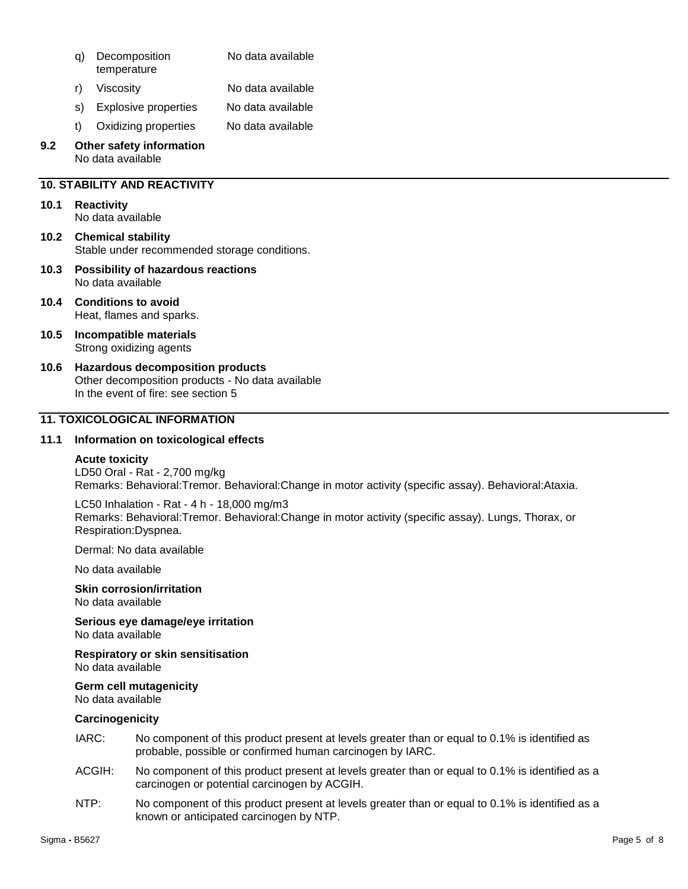- q) Decomposition temperature No data available
- r) Viscosity No data available
- s) Explosive properties No data available
- t) Oxidizing properties No data available

#### **9.2 Other safety information** No data available

### **10. STABILITY AND REACTIVITY**

### **10.1 Reactivity**

No data available

- **10.2 Chemical stability** Stable under recommended storage conditions.
- **10.3 Possibility of hazardous reactions** No data available
- **10.4 Conditions to avoid** Heat, flames and sparks.
- **10.5 Incompatible materials** Strong oxidizing agents
- **10.6 Hazardous decomposition products** Other decomposition products - No data available In the event of fire: see section 5

### **11. TOXICOLOGICAL INFORMATION**

### **11.1 Information on toxicological effects**

### **Acute toxicity**

LD50 Oral - Rat - 2,700 mg/kg Remarks: Behavioral:Tremor. Behavioral:Change in motor activity (specific assay). Behavioral:Ataxia.

LC50 Inhalation - Rat - 4 h - 18,000 mg/m3 Remarks: Behavioral:Tremor. Behavioral:Change in motor activity (specific assay). Lungs, Thorax, or Respiration:Dyspnea.

Dermal: No data available

No data available

**Skin corrosion/irritation** No data available

**Serious eye damage/eye irritation** No data available

**Respiratory or skin sensitisation**

No data available

### **Germ cell mutagenicity**

## No data available

### **Carcinogenicity**

- IARC: No component of this product present at levels greater than or equal to 0.1% is identified as probable, possible or confirmed human carcinogen by IARC.
- ACGIH: No component of this product present at levels greater than or equal to 0.1% is identified as a carcinogen or potential carcinogen by ACGIH.
- NTP: No component of this product present at levels greater than or equal to 0.1% is identified as a known or anticipated carcinogen by NTP.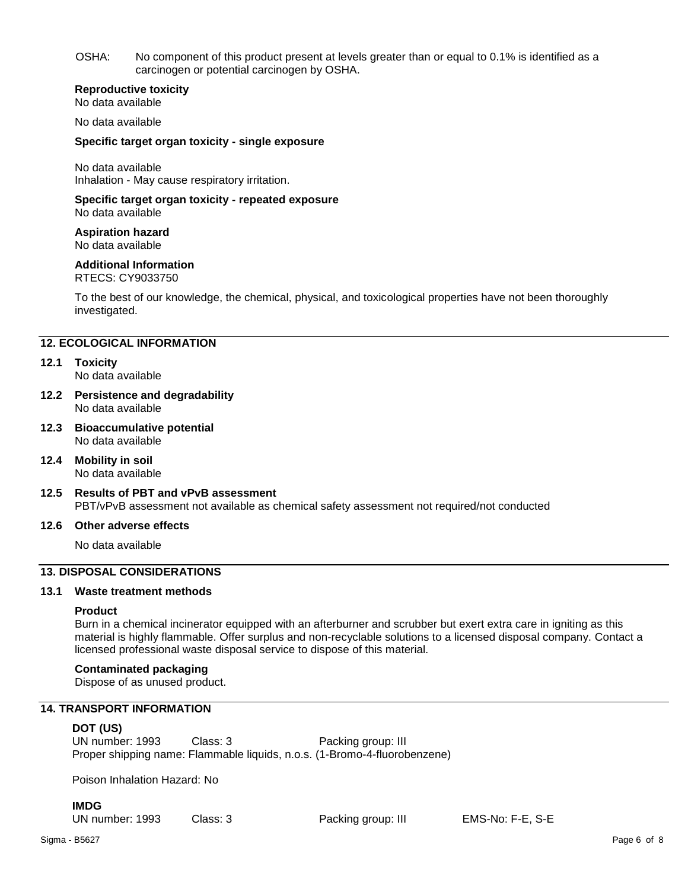OSHA: No component of this product present at levels greater than or equal to 0.1% is identified as a carcinogen or potential carcinogen by OSHA.

#### **Reproductive toxicity**

No data available

No data available

#### **Specific target organ toxicity - single exposure**

No data available Inhalation - May cause respiratory irritation.

### **Specific target organ toxicity - repeated exposure**

No data available

**Aspiration hazard** No data available

#### **Additional Information**

RTECS: CY9033750

To the best of our knowledge, the chemical, physical, and toxicological properties have not been thoroughly investigated.

#### **12. ECOLOGICAL INFORMATION**

#### **12.1 Toxicity**

No data available

- **12.2 Persistence and degradability** No data available
- **12.3 Bioaccumulative potential** No data available

**12.4 Mobility in soil** No data available

**12.5 Results of PBT and vPvB assessment** PBT/vPvB assessment not available as chemical safety assessment not required/not conducted

#### **12.6 Other adverse effects**

No data available

### **13. DISPOSAL CONSIDERATIONS**

#### **13.1 Waste treatment methods**

#### **Product**

Burn in a chemical incinerator equipped with an afterburner and scrubber but exert extra care in igniting as this material is highly flammable. Offer surplus and non-recyclable solutions to a licensed disposal company. Contact a licensed professional waste disposal service to dispose of this material.

#### **Contaminated packaging**

Dispose of as unused product.

#### **14. TRANSPORT INFORMATION**

#### **DOT (US)**

UN number: 1993 Class: 3 Packing group: III Proper shipping name: Flammable liquids, n.o.s. (1-Bromo-4-fluorobenzene)

Poison Inhalation Hazard: No

**IMDG**

UN number: 1993 Class: 3 Packing group: III EMS-No: F-E, S-E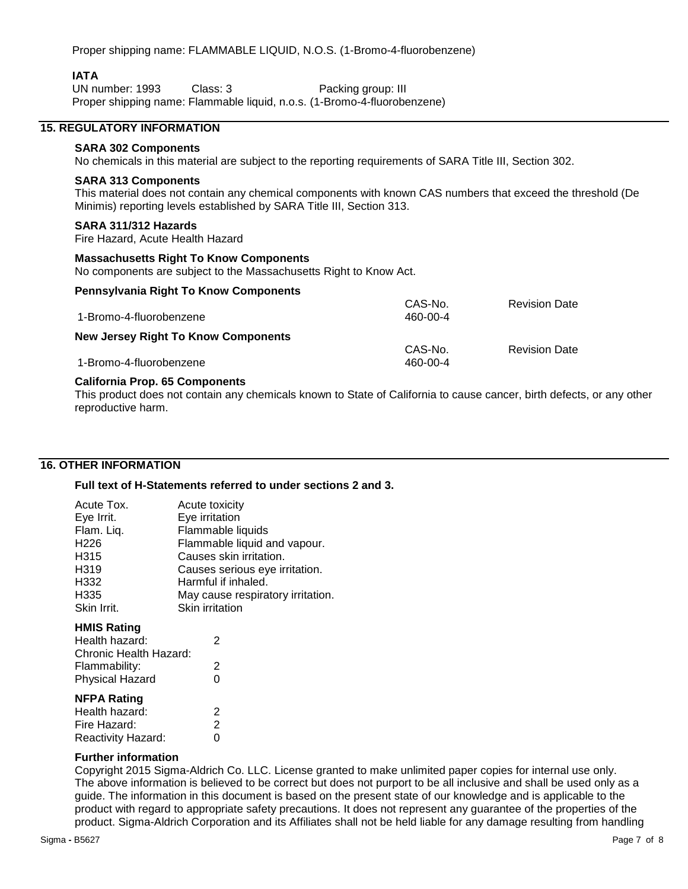Proper shipping name: FLAMMABLE LIQUID, N.O.S. (1-Bromo-4-fluorobenzene)

#### **IATA**

UN number: 1993 Class: 3 Packing group: III Proper shipping name: Flammable liquid, n.o.s. (1-Bromo-4-fluorobenzene)

#### **15. REGULATORY INFORMATION**

### **SARA 302 Components**

No chemicals in this material are subject to the reporting requirements of SARA Title III, Section 302.

#### **SARA 313 Components**

This material does not contain any chemical components with known CAS numbers that exceed the threshold (De Minimis) reporting levels established by SARA Title III, Section 313.

#### **SARA 311/312 Hazards**

Fire Hazard, Acute Health Hazard

#### **Massachusetts Right To Know Components**

No components are subject to the Massachusetts Right to Know Act.

#### **Pennsylvania Right To Know Components**

|                                            | CAS-No.  | <b>Revision Date</b> |
|--------------------------------------------|----------|----------------------|
| 1-Bromo-4-fluorobenzene                    | 460-00-4 |                      |
| <b>New Jersey Right To Know Components</b> |          |                      |
|                                            | CAS-No.  | <b>Revision Date</b> |
| 1-Bromo-4-fluorobenzene                    | 460-00-4 |                      |

#### **California Prop. 65 Components**

This product does not contain any chemicals known to State of California to cause cancer, birth defects, or any other reproductive harm.

#### **16. OTHER INFORMATION**

#### **Full text of H-Statements referred to under sections 2 and 3.**

| Acute Tox.<br>Eye Irrit.<br>Flam. Liq.<br>H226<br>H315<br>H319<br>H332<br>H335<br>Skin Irrit.             | Acute toxicity<br>Eye irritation<br>Flammable liquids<br>Flammable liquid and vapour.<br>Causes skin irritation.<br>Causes serious eye irritation.<br>Harmful if inhaled.<br>May cause respiratory irritation.<br>Skin irritation |
|-----------------------------------------------------------------------------------------------------------|-----------------------------------------------------------------------------------------------------------------------------------------------------------------------------------------------------------------------------------|
| <b>HMIS Rating</b><br>Health hazard:<br>Chronic Health Hazard:<br>Flammability:<br><b>Physical Hazard</b> | 2<br>2<br>0                                                                                                                                                                                                                       |
| <b>NFPA Rating</b><br>Health hazard:<br>Fire Hazard:<br>Reactivity Hazard:                                | 2<br>2<br>0                                                                                                                                                                                                                       |

#### **Further information**

Copyright 2015 Sigma-Aldrich Co. LLC. License granted to make unlimited paper copies for internal use only. The above information is believed to be correct but does not purport to be all inclusive and shall be used only as a guide. The information in this document is based on the present state of our knowledge and is applicable to the product with regard to appropriate safety precautions. It does not represent any guarantee of the properties of the product. Sigma-Aldrich Corporation and its Affiliates shall not be held liable for any damage resulting from handling